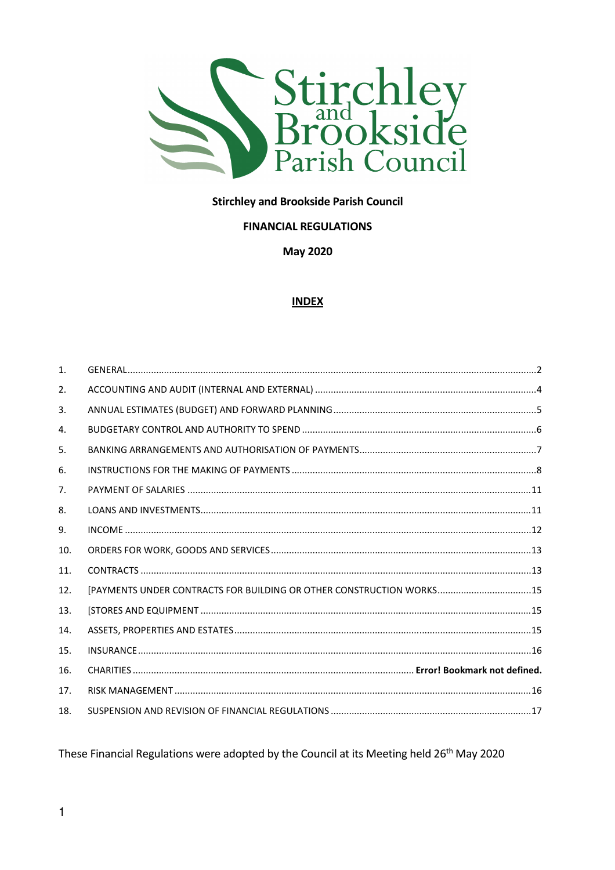

### **Stirchley and Brookside Parish Council**

#### **FINANCIAL REGULATIONS**

**May 2020** 

#### **INDEX**

| $\mathbf{1}$ . |                                                                      |  |
|----------------|----------------------------------------------------------------------|--|
| 2.             |                                                                      |  |
| 3.             |                                                                      |  |
| 4.             |                                                                      |  |
| 5.             |                                                                      |  |
| 6.             |                                                                      |  |
| 7.             |                                                                      |  |
| 8.             |                                                                      |  |
| 9.             |                                                                      |  |
| 10.            |                                                                      |  |
| 11.            |                                                                      |  |
| 12.            | [PAYMENTS UNDER CONTRACTS FOR BUILDING OR OTHER CONSTRUCTION WORKS15 |  |
| 13.            |                                                                      |  |
| 14.            |                                                                      |  |
| 15.            |                                                                      |  |
| 16.            |                                                                      |  |
| 17.            |                                                                      |  |
| 18.            |                                                                      |  |

These Financial Regulations were adopted by the Council at its Meeting held 26<sup>th</sup> May 2020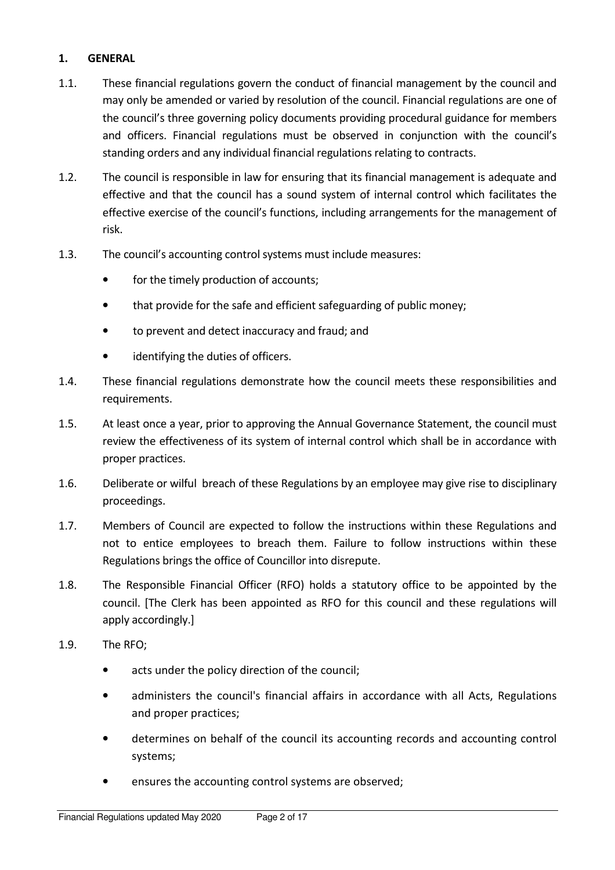### 1. GENERAL

- 1.1. These financial regulations govern the conduct of financial management by the council and may only be amended or varied by resolution of the council. Financial regulations are one of the council's three governing policy documents providing procedural guidance for members and officers. Financial regulations must be observed in conjunction with the council's standing orders and any individual financial regulations relating to contracts.
- 1.2. The council is responsible in law for ensuring that its financial management is adequate and effective and that the council has a sound system of internal control which facilitates the effective exercise of the council's functions, including arrangements for the management of risk.
- 1.3. The council's accounting control systems must include measures:
	- for the timely production of accounts;
	- that provide for the safe and efficient safeguarding of public money;
	- to prevent and detect inaccuracy and fraud; and
	- identifying the duties of officers.
- 1.4. These financial regulations demonstrate how the council meets these responsibilities and requirements.
- 1.5. At least once a year, prior to approving the Annual Governance Statement, the council must review the effectiveness of its system of internal control which shall be in accordance with proper practices.
- 1.6. Deliberate or wilful breach of these Regulations by an employee may give rise to disciplinary proceedings.
- 1.7. Members of Council are expected to follow the instructions within these Regulations and not to entice employees to breach them. Failure to follow instructions within these Regulations brings the office of Councillor into disrepute.
- 1.8. The Responsible Financial Officer (RFO) holds a statutory office to be appointed by the council. [The Clerk has been appointed as RFO for this council and these regulations will apply accordingly.]
- 1.9. The RFO;
	- acts under the policy direction of the council;
	- administers the council's financial affairs in accordance with all Acts, Regulations and proper practices;
	- determines on behalf of the council its accounting records and accounting control systems;
	- ensures the accounting control systems are observed;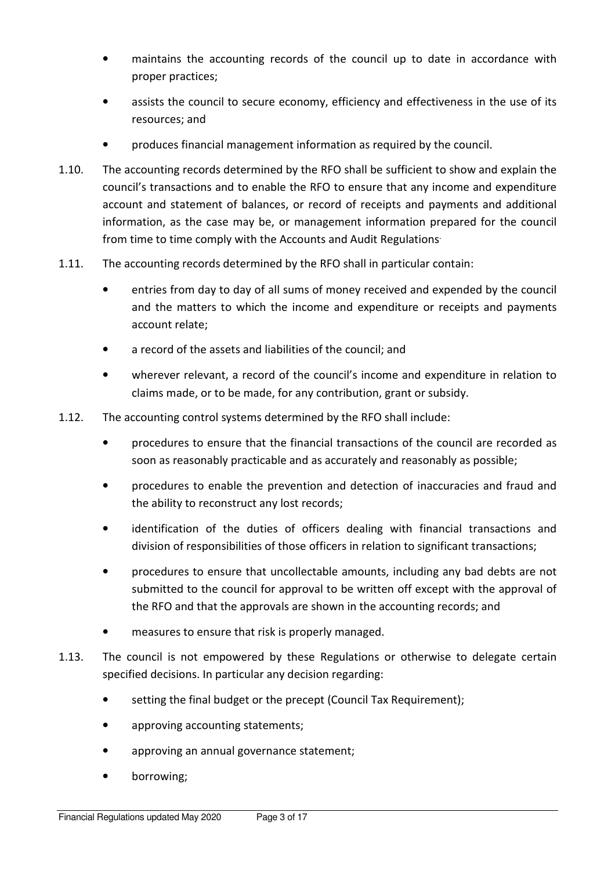- maintains the accounting records of the council up to date in accordance with proper practices;
- assists the council to secure economy, efficiency and effectiveness in the use of its resources; and
- produces financial management information as required by the council.
- 1.10. The accounting records determined by the RFO shall be sufficient to show and explain the council's transactions and to enable the RFO to ensure that any income and expenditure account and statement of balances, or record of receipts and payments and additional information, as the case may be, or management information prepared for the council from time to time comply with the Accounts and Audit Regulations.
- 1.11. The accounting records determined by the RFO shall in particular contain:
	- entries from day to day of all sums of money received and expended by the council and the matters to which the income and expenditure or receipts and payments account relate;
	- a record of the assets and liabilities of the council; and
	- wherever relevant, a record of the council's income and expenditure in relation to claims made, or to be made, for any contribution, grant or subsidy.
- 1.12. The accounting control systems determined by the RFO shall include:
	- procedures to ensure that the financial transactions of the council are recorded as soon as reasonably practicable and as accurately and reasonably as possible;
	- procedures to enable the prevention and detection of inaccuracies and fraud and the ability to reconstruct any lost records;
	- identification of the duties of officers dealing with financial transactions and division of responsibilities of those officers in relation to significant transactions;
	- procedures to ensure that uncollectable amounts, including any bad debts are not submitted to the council for approval to be written off except with the approval of the RFO and that the approvals are shown in the accounting records; and
	- measures to ensure that risk is properly managed.
- 1.13. The council is not empowered by these Regulations or otherwise to delegate certain specified decisions. In particular any decision regarding:
	- setting the final budget or the precept (Council Tax Requirement);
	- approving accounting statements;
	- approving an annual governance statement;
	- borrowing;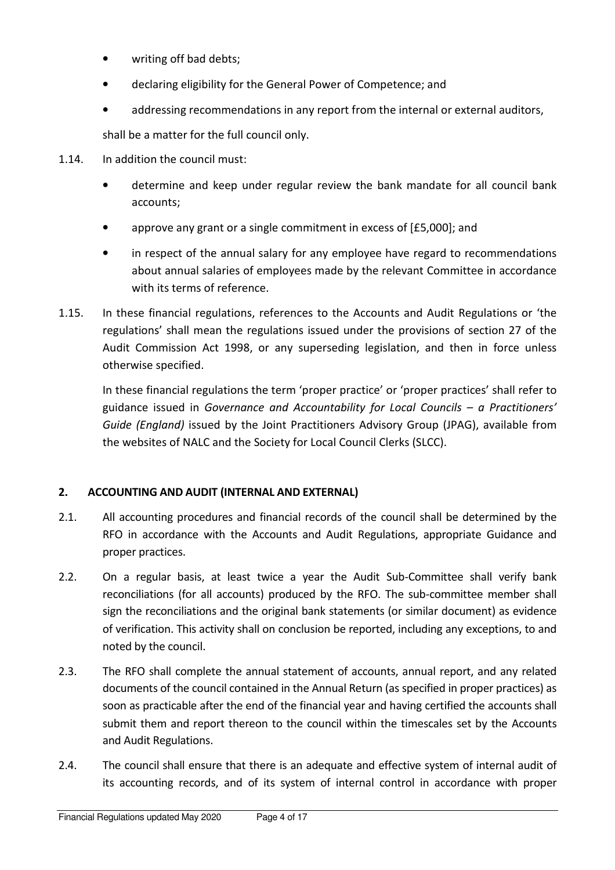- writing off bad debts;
- declaring eligibility for the General Power of Competence; and
- addressing recommendations in any report from the internal or external auditors,

shall be a matter for the full council only.

- 1.14. In addition the council must:
	- determine and keep under regular review the bank mandate for all council bank accounts;
	- approve any grant or a single commitment in excess of [£5,000]; and
	- in respect of the annual salary for any employee have regard to recommendations about annual salaries of employees made by the relevant Committee in accordance with its terms of reference.
- 1.15. In these financial regulations, references to the Accounts and Audit Regulations or 'the regulations' shall mean the regulations issued under the provisions of section 27 of the Audit Commission Act 1998, or any superseding legislation, and then in force unless otherwise specified.

In these financial regulations the term 'proper practice' or 'proper practices' shall refer to guidance issued in Governance and Accountability for Local Councils – a Practitioners' Guide (England) issued by the Joint Practitioners Advisory Group (JPAG), available from the websites of NALC and the Society for Local Council Clerks (SLCC).

### 2. ACCOUNTING AND AUDIT (INTERNAL AND EXTERNAL)

- 2.1. All accounting procedures and financial records of the council shall be determined by the RFO in accordance with the Accounts and Audit Regulations, appropriate Guidance and proper practices.
- 2.2. On a regular basis, at least twice a year the Audit Sub-Committee shall verify bank reconciliations (for all accounts) produced by the RFO. The sub-committee member shall sign the reconciliations and the original bank statements (or similar document) as evidence of verification. This activity shall on conclusion be reported, including any exceptions, to and noted by the council.
- 2.3. The RFO shall complete the annual statement of accounts, annual report, and any related documents of the council contained in the Annual Return (as specified in proper practices) as soon as practicable after the end of the financial year and having certified the accounts shall submit them and report thereon to the council within the timescales set by the Accounts and Audit Regulations.
- 2.4. The council shall ensure that there is an adequate and effective system of internal audit of its accounting records, and of its system of internal control in accordance with proper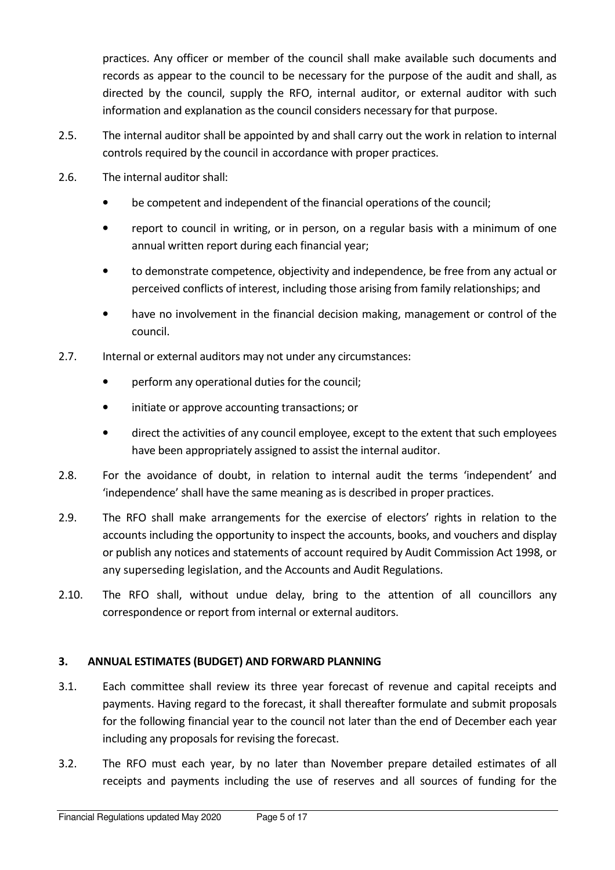practices. Any officer or member of the council shall make available such documents and records as appear to the council to be necessary for the purpose of the audit and shall, as directed by the council, supply the RFO, internal auditor, or external auditor with such information and explanation as the council considers necessary for that purpose.

- 2.5. The internal auditor shall be appointed by and shall carry out the work in relation to internal controls required by the council in accordance with proper practices.
- 2.6. The internal auditor shall:
	- be competent and independent of the financial operations of the council;
	- report to council in writing, or in person, on a regular basis with a minimum of one annual written report during each financial year;
	- to demonstrate competence, objectivity and independence, be free from any actual or perceived conflicts of interest, including those arising from family relationships; and
	- have no involvement in the financial decision making, management or control of the council.
- 2.7. Internal or external auditors may not under any circumstances:
	- perform any operational duties for the council;
	- initiate or approve accounting transactions; or
	- direct the activities of any council employee, except to the extent that such employees have been appropriately assigned to assist the internal auditor.
- 2.8. For the avoidance of doubt, in relation to internal audit the terms 'independent' and 'independence' shall have the same meaning as is described in proper practices.
- 2.9. The RFO shall make arrangements for the exercise of electors' rights in relation to the accounts including the opportunity to inspect the accounts, books, and vouchers and display or publish any notices and statements of account required by Audit Commission Act 1998, or any superseding legislation, and the Accounts and Audit Regulations.
- 2.10. The RFO shall, without undue delay, bring to the attention of all councillors any correspondence or report from internal or external auditors.

### 3. ANNUAL ESTIMATES (BUDGET) AND FORWARD PLANNING

- 3.1. Each committee shall review its three year forecast of revenue and capital receipts and payments. Having regard to the forecast, it shall thereafter formulate and submit proposals for the following financial year to the council not later than the end of December each year including any proposals for revising the forecast.
- 3.2. The RFO must each year, by no later than November prepare detailed estimates of all receipts and payments including the use of reserves and all sources of funding for the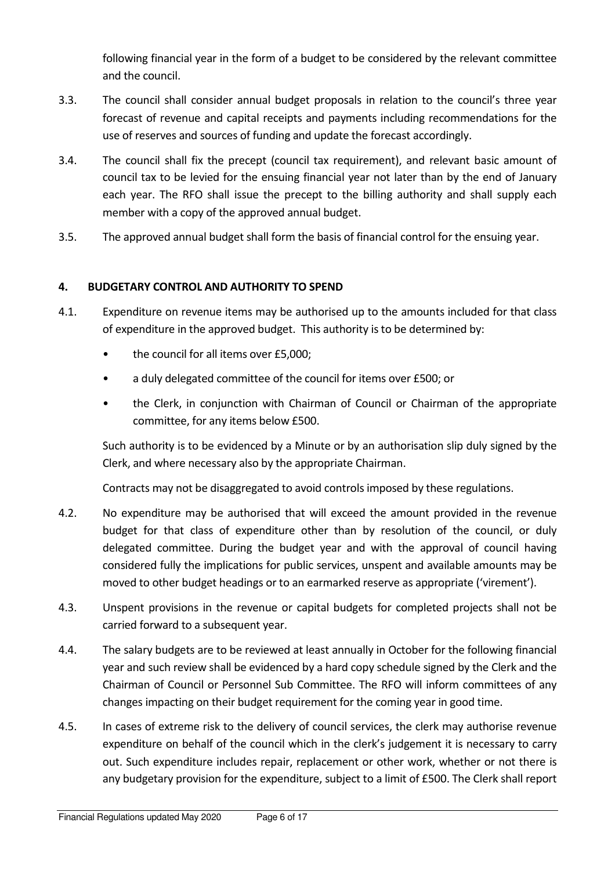following financial year in the form of a budget to be considered by the relevant committee and the council.

- 3.3. The council shall consider annual budget proposals in relation to the council's three year forecast of revenue and capital receipts and payments including recommendations for the use of reserves and sources of funding and update the forecast accordingly.
- 3.4. The council shall fix the precept (council tax requirement), and relevant basic amount of council tax to be levied for the ensuing financial year not later than by the end of January each year. The RFO shall issue the precept to the billing authority and shall supply each member with a copy of the approved annual budget.
- 3.5. The approved annual budget shall form the basis of financial control for the ensuing year.

# 4. BUDGETARY CONTROL AND AUTHORITY TO SPEND

- 4.1. Expenditure on revenue items may be authorised up to the amounts included for that class of expenditure in the approved budget. This authority is to be determined by:
	- the council for all items over £5,000;
	- a duly delegated committee of the council for items over £500; or
	- the Clerk, in conjunction with Chairman of Council or Chairman of the appropriate committee, for any items below £500.

Such authority is to be evidenced by a Minute or by an authorisation slip duly signed by the Clerk, and where necessary also by the appropriate Chairman.

Contracts may not be disaggregated to avoid controls imposed by these regulations.

- 4.2. No expenditure may be authorised that will exceed the amount provided in the revenue budget for that class of expenditure other than by resolution of the council, or duly delegated committee. During the budget year and with the approval of council having considered fully the implications for public services, unspent and available amounts may be moved to other budget headings or to an earmarked reserve as appropriate ('virement').
- 4.3. Unspent provisions in the revenue or capital budgets for completed projects shall not be carried forward to a subsequent year.
- 4.4. The salary budgets are to be reviewed at least annually in October for the following financial year and such review shall be evidenced by a hard copy schedule signed by the Clerk and the Chairman of Council or Personnel Sub Committee. The RFO will inform committees of any changes impacting on their budget requirement for the coming year in good time.
- 4.5. In cases of extreme risk to the delivery of council services, the clerk may authorise revenue expenditure on behalf of the council which in the clerk's judgement it is necessary to carry out. Such expenditure includes repair, replacement or other work, whether or not there is any budgetary provision for the expenditure, subject to a limit of £500. The Clerk shall report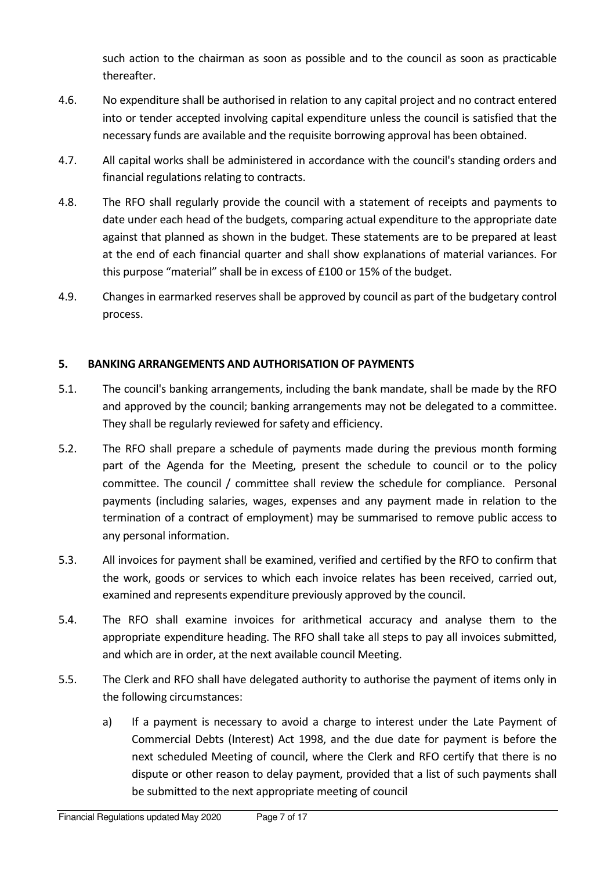such action to the chairman as soon as possible and to the council as soon as practicable thereafter.

- 4.6. No expenditure shall be authorised in relation to any capital project and no contract entered into or tender accepted involving capital expenditure unless the council is satisfied that the necessary funds are available and the requisite borrowing approval has been obtained.
- 4.7. All capital works shall be administered in accordance with the council's standing orders and financial regulations relating to contracts.
- 4.8. The RFO shall regularly provide the council with a statement of receipts and payments to date under each head of the budgets, comparing actual expenditure to the appropriate date against that planned as shown in the budget. These statements are to be prepared at least at the end of each financial quarter and shall show explanations of material variances. For this purpose "material" shall be in excess of £100 or 15% of the budget.
- 4.9. Changes in earmarked reserves shall be approved by council as part of the budgetary control process.

# 5. BANKING ARRANGEMENTS AND AUTHORISATION OF PAYMENTS

- 5.1. The council's banking arrangements, including the bank mandate, shall be made by the RFO and approved by the council; banking arrangements may not be delegated to a committee. They shall be regularly reviewed for safety and efficiency.
- 5.2. The RFO shall prepare a schedule of payments made during the previous month forming part of the Agenda for the Meeting, present the schedule to council or to the policy committee. The council / committee shall review the schedule for compliance. Personal payments (including salaries, wages, expenses and any payment made in relation to the termination of a contract of employment) may be summarised to remove public access to any personal information.
- 5.3. All invoices for payment shall be examined, verified and certified by the RFO to confirm that the work, goods or services to which each invoice relates has been received, carried out, examined and represents expenditure previously approved by the council.
- 5.4. The RFO shall examine invoices for arithmetical accuracy and analyse them to the appropriate expenditure heading. The RFO shall take all steps to pay all invoices submitted, and which are in order, at the next available council Meeting.
- 5.5. The Clerk and RFO shall have delegated authority to authorise the payment of items only in the following circumstances:
	- a) If a payment is necessary to avoid a charge to interest under the Late Payment of Commercial Debts (Interest) Act 1998, and the due date for payment is before the next scheduled Meeting of council, where the Clerk and RFO certify that there is no dispute or other reason to delay payment, provided that a list of such payments shall be submitted to the next appropriate meeting of council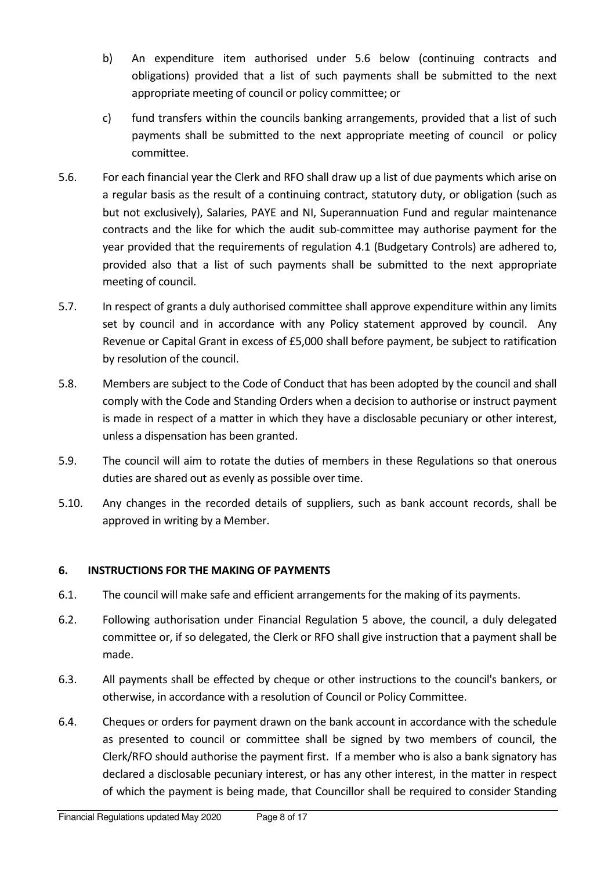- b) An expenditure item authorised under 5.6 below (continuing contracts and obligations) provided that a list of such payments shall be submitted to the next appropriate meeting of council or policy committee; or
- c) fund transfers within the councils banking arrangements, provided that a list of such payments shall be submitted to the next appropriate meeting of council or policy committee.
- 5.6. For each financial year the Clerk and RFO shall draw up a list of due payments which arise on a regular basis as the result of a continuing contract, statutory duty, or obligation (such as but not exclusively), Salaries, PAYE and NI, Superannuation Fund and regular maintenance contracts and the like for which the audit sub-committee may authorise payment for the year provided that the requirements of regulation 4.1 (Budgetary Controls) are adhered to, provided also that a list of such payments shall be submitted to the next appropriate meeting of council.
- 5.7. In respect of grants a duly authorised committee shall approve expenditure within any limits set by council and in accordance with any Policy statement approved by council. Any Revenue or Capital Grant in excess of £5,000 shall before payment, be subject to ratification by resolution of the council.
- 5.8. Members are subject to the Code of Conduct that has been adopted by the council and shall comply with the Code and Standing Orders when a decision to authorise or instruct payment is made in respect of a matter in which they have a disclosable pecuniary or other interest, unless a dispensation has been granted.
- 5.9. The council will aim to rotate the duties of members in these Regulations so that onerous duties are shared out as evenly as possible over time.
- 5.10. Any changes in the recorded details of suppliers, such as bank account records, shall be approved in writing by a Member.

# 6. INSTRUCTIONS FOR THE MAKING OF PAYMENTS

- 6.1. The council will make safe and efficient arrangements for the making of its payments.
- 6.2. Following authorisation under Financial Regulation 5 above, the council, a duly delegated committee or, if so delegated, the Clerk or RFO shall give instruction that a payment shall be made.
- 6.3. All payments shall be effected by cheque or other instructions to the council's bankers, or otherwise, in accordance with a resolution of Council or Policy Committee.
- 6.4. Cheques or orders for payment drawn on the bank account in accordance with the schedule as presented to council or committee shall be signed by two members of council, the Clerk/RFO should authorise the payment first. If a member who is also a bank signatory has declared a disclosable pecuniary interest, or has any other interest, in the matter in respect of which the payment is being made, that Councillor shall be required to consider Standing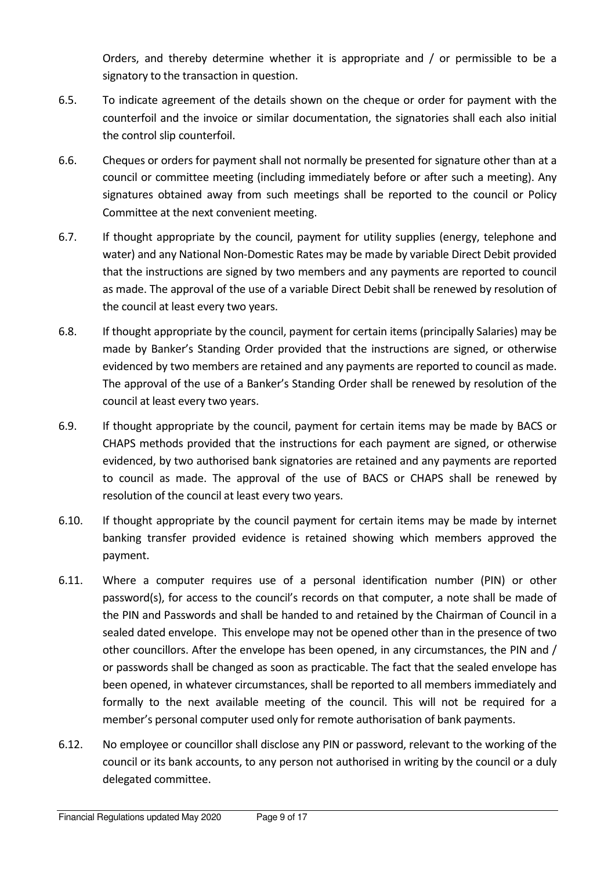Orders, and thereby determine whether it is appropriate and / or permissible to be a signatory to the transaction in question.

- 6.5. To indicate agreement of the details shown on the cheque or order for payment with the counterfoil and the invoice or similar documentation, the signatories shall each also initial the control slip counterfoil.
- 6.6. Cheques or orders for payment shall not normally be presented for signature other than at a council or committee meeting (including immediately before or after such a meeting). Any signatures obtained away from such meetings shall be reported to the council or Policy Committee at the next convenient meeting.
- 6.7. If thought appropriate by the council, payment for utility supplies (energy, telephone and water) and any National Non-Domestic Rates may be made by variable Direct Debit provided that the instructions are signed by two members and any payments are reported to council as made. The approval of the use of a variable Direct Debit shall be renewed by resolution of the council at least every two years.
- 6.8. If thought appropriate by the council, payment for certain items (principally Salaries) may be made by Banker's Standing Order provided that the instructions are signed, or otherwise evidenced by two members are retained and any payments are reported to council as made. The approval of the use of a Banker's Standing Order shall be renewed by resolution of the council at least every two years.
- 6.9. If thought appropriate by the council, payment for certain items may be made by BACS or CHAPS methods provided that the instructions for each payment are signed, or otherwise evidenced, by two authorised bank signatories are retained and any payments are reported to council as made. The approval of the use of BACS or CHAPS shall be renewed by resolution of the council at least every two years.
- 6.10. If thought appropriate by the council payment for certain items may be made by internet banking transfer provided evidence is retained showing which members approved the payment.
- 6.11. Where a computer requires use of a personal identification number (PIN) or other password(s), for access to the council's records on that computer, a note shall be made of the PIN and Passwords and shall be handed to and retained by the Chairman of Council in a sealed dated envelope. This envelope may not be opened other than in the presence of two other councillors. After the envelope has been opened, in any circumstances, the PIN and / or passwords shall be changed as soon as practicable. The fact that the sealed envelope has been opened, in whatever circumstances, shall be reported to all members immediately and formally to the next available meeting of the council. This will not be required for a member's personal computer used only for remote authorisation of bank payments.
- 6.12. No employee or councillor shall disclose any PIN or password, relevant to the working of the council or its bank accounts, to any person not authorised in writing by the council or a duly delegated committee.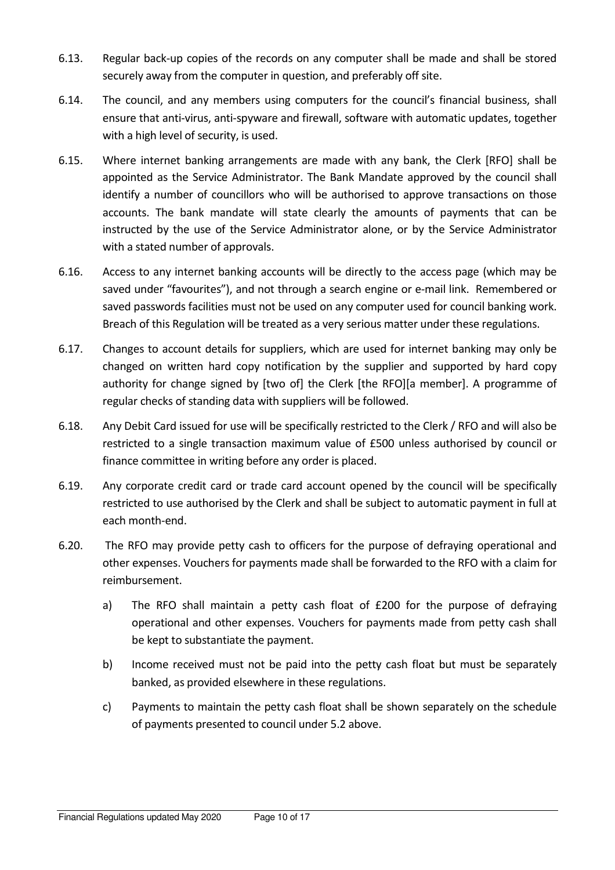- 6.13. Regular back-up copies of the records on any computer shall be made and shall be stored securely away from the computer in question, and preferably off site.
- 6.14. The council, and any members using computers for the council's financial business, shall ensure that anti-virus, anti-spyware and firewall, software with automatic updates, together with a high level of security, is used.
- 6.15. Where internet banking arrangements are made with any bank, the Clerk [RFO] shall be appointed as the Service Administrator. The Bank Mandate approved by the council shall identify a number of councillors who will be authorised to approve transactions on those accounts. The bank mandate will state clearly the amounts of payments that can be instructed by the use of the Service Administrator alone, or by the Service Administrator with a stated number of approvals.
- 6.16. Access to any internet banking accounts will be directly to the access page (which may be saved under "favourites"), and not through a search engine or e-mail link. Remembered or saved passwords facilities must not be used on any computer used for council banking work. Breach of this Regulation will be treated as a very serious matter under these regulations.
- 6.17. Changes to account details for suppliers, which are used for internet banking may only be changed on written hard copy notification by the supplier and supported by hard copy authority for change signed by [two of] the Clerk [the RFO][a member]. A programme of regular checks of standing data with suppliers will be followed.
- 6.18. Any Debit Card issued for use will be specifically restricted to the Clerk / RFO and will also be restricted to a single transaction maximum value of £500 unless authorised by council or finance committee in writing before any order is placed.
- 6.19. Any corporate credit card or trade card account opened by the council will be specifically restricted to use authorised by the Clerk and shall be subject to automatic payment in full at each month-end.
- 6.20. The RFO may provide petty cash to officers for the purpose of defraying operational and other expenses. Vouchers for payments made shall be forwarded to the RFO with a claim for reimbursement.
	- a) The RFO shall maintain a petty cash float of £200 for the purpose of defraying operational and other expenses. Vouchers for payments made from petty cash shall be kept to substantiate the payment.
	- b) Income received must not be paid into the petty cash float but must be separately banked, as provided elsewhere in these regulations.
	- c) Payments to maintain the petty cash float shall be shown separately on the schedule of payments presented to council under 5.2 above.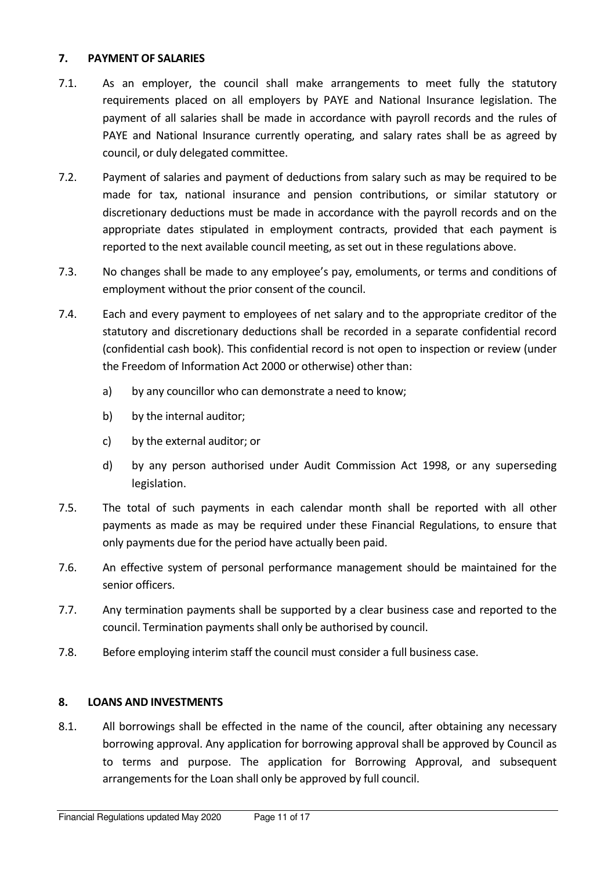#### 7. PAYMENT OF SALARIES

- 7.1. As an employer, the council shall make arrangements to meet fully the statutory requirements placed on all employers by PAYE and National Insurance legislation. The payment of all salaries shall be made in accordance with payroll records and the rules of PAYE and National Insurance currently operating, and salary rates shall be as agreed by council, or duly delegated committee.
- 7.2. Payment of salaries and payment of deductions from salary such as may be required to be made for tax, national insurance and pension contributions, or similar statutory or discretionary deductions must be made in accordance with the payroll records and on the appropriate dates stipulated in employment contracts, provided that each payment is reported to the next available council meeting, as set out in these regulations above.
- 7.3. No changes shall be made to any employee's pay, emoluments, or terms and conditions of employment without the prior consent of the council.
- 7.4. Each and every payment to employees of net salary and to the appropriate creditor of the statutory and discretionary deductions shall be recorded in a separate confidential record (confidential cash book). This confidential record is not open to inspection or review (under the Freedom of Information Act 2000 or otherwise) other than:
	- a) by any councillor who can demonstrate a need to know;
	- b) by the internal auditor;
	- c) by the external auditor; or
	- d) by any person authorised under Audit Commission Act 1998, or any superseding legislation.
- 7.5. The total of such payments in each calendar month shall be reported with all other payments as made as may be required under these Financial Regulations, to ensure that only payments due for the period have actually been paid.
- 7.6. An effective system of personal performance management should be maintained for the senior officers.
- 7.7. Any termination payments shall be supported by a clear business case and reported to the council. Termination payments shall only be authorised by council.
- 7.8. Before employing interim staff the council must consider a full business case.

### 8. LOANS AND INVESTMENTS

8.1. All borrowings shall be effected in the name of the council, after obtaining any necessary borrowing approval. Any application for borrowing approval shall be approved by Council as to terms and purpose. The application for Borrowing Approval, and subsequent arrangements for the Loan shall only be approved by full council.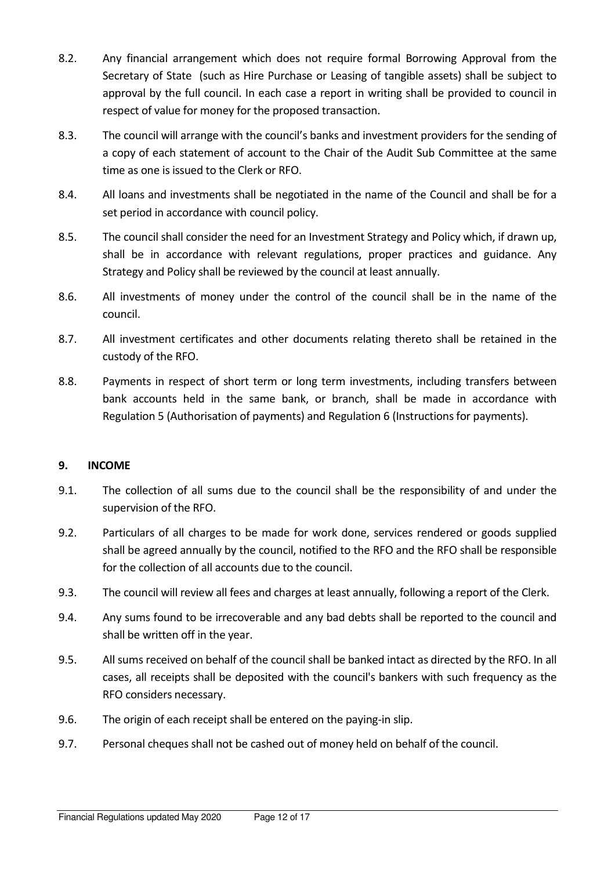- 8.2. Any financial arrangement which does not require formal Borrowing Approval from the Secretary of State (such as Hire Purchase or Leasing of tangible assets) shall be subject to approval by the full council. In each case a report in writing shall be provided to council in respect of value for money for the proposed transaction.
- 8.3. The council will arrange with the council's banks and investment providers for the sending of a copy of each statement of account to the Chair of the Audit Sub Committee at the same time as one is issued to the Clerk or RFO.
- 8.4. All loans and investments shall be negotiated in the name of the Council and shall be for a set period in accordance with council policy.
- 8.5. The council shall consider the need for an Investment Strategy and Policy which, if drawn up, shall be in accordance with relevant regulations, proper practices and guidance. Any Strategy and Policy shall be reviewed by the council at least annually.
- 8.6. All investments of money under the control of the council shall be in the name of the council.
- 8.7. All investment certificates and other documents relating thereto shall be retained in the custody of the RFO.
- 8.8. Payments in respect of short term or long term investments, including transfers between bank accounts held in the same bank, or branch, shall be made in accordance with Regulation 5 (Authorisation of payments) and Regulation 6 (Instructions for payments).

### 9. INCOME

- 9.1. The collection of all sums due to the council shall be the responsibility of and under the supervision of the RFO.
- 9.2. Particulars of all charges to be made for work done, services rendered or goods supplied shall be agreed annually by the council, notified to the RFO and the RFO shall be responsible for the collection of all accounts due to the council.
- 9.3. The council will review all fees and charges at least annually, following a report of the Clerk.
- 9.4. Any sums found to be irrecoverable and any bad debts shall be reported to the council and shall be written off in the year.
- 9.5. All sums received on behalf of the council shall be banked intact as directed by the RFO. In all cases, all receipts shall be deposited with the council's bankers with such frequency as the RFO considers necessary.
- 9.6. The origin of each receipt shall be entered on the paying-in slip.
- 9.7. Personal cheques shall not be cashed out of money held on behalf of the council.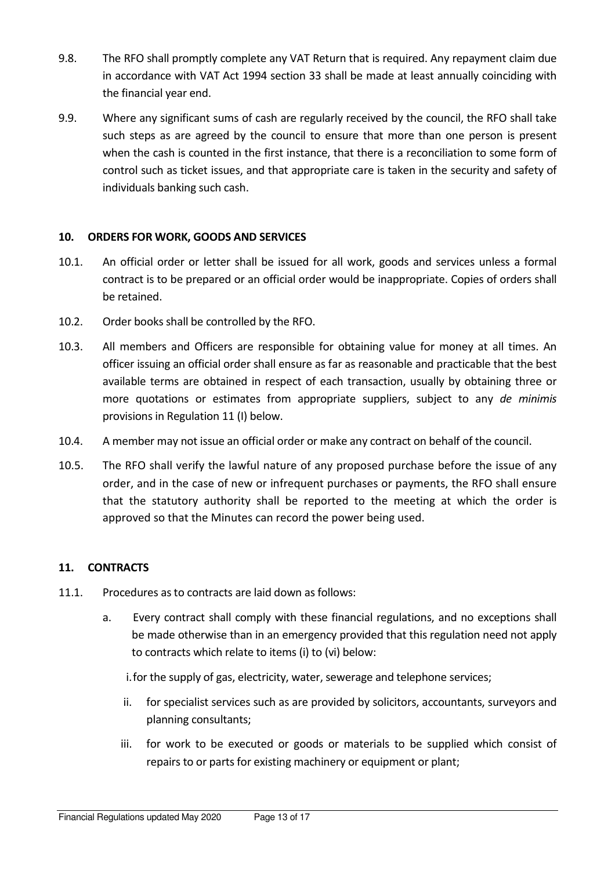- 9.8. The RFO shall promptly complete any VAT Return that is required. Any repayment claim due in accordance with VAT Act 1994 section 33 shall be made at least annually coinciding with the financial year end.
- 9.9. Where any significant sums of cash are regularly received by the council, the RFO shall take such steps as are agreed by the council to ensure that more than one person is present when the cash is counted in the first instance, that there is a reconciliation to some form of control such as ticket issues, and that appropriate care is taken in the security and safety of individuals banking such cash.

### 10. ORDERS FOR WORK, GOODS AND SERVICES

- 10.1. An official order or letter shall be issued for all work, goods and services unless a formal contract is to be prepared or an official order would be inappropriate. Copies of orders shall be retained.
- 10.2. Order books shall be controlled by the RFO.
- 10.3. All members and Officers are responsible for obtaining value for money at all times. An officer issuing an official order shall ensure as far as reasonable and practicable that the best available terms are obtained in respect of each transaction, usually by obtaining three or more quotations or estimates from appropriate suppliers, subject to any de minimis provisions in Regulation 11 (I) below.
- 10.4. A member may not issue an official order or make any contract on behalf of the council.
- 10.5. The RFO shall verify the lawful nature of any proposed purchase before the issue of any order, and in the case of new or infrequent purchases or payments, the RFO shall ensure that the statutory authority shall be reported to the meeting at which the order is approved so that the Minutes can record the power being used.

# 11. CONTRACTS

- 11.1. Procedures as to contracts are laid down as follows:
	- a. Every contract shall comply with these financial regulations, and no exceptions shall be made otherwise than in an emergency provided that this regulation need not apply to contracts which relate to items (i) to (vi) below:
		- i.for the supply of gas, electricity, water, sewerage and telephone services;
		- ii. for specialist services such as are provided by solicitors, accountants, surveyors and planning consultants;
		- iii. for work to be executed or goods or materials to be supplied which consist of repairs to or parts for existing machinery or equipment or plant;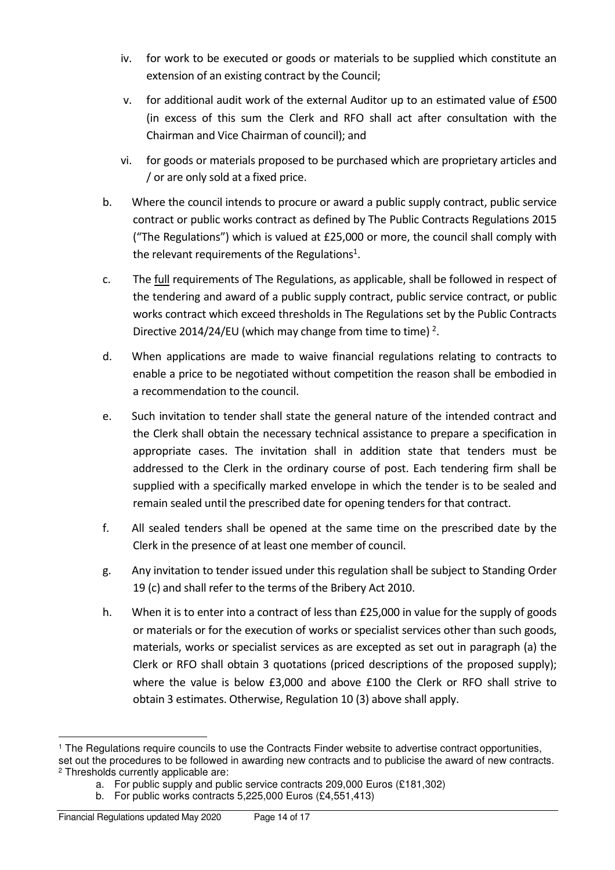- iv. for work to be executed or goods or materials to be supplied which constitute an extension of an existing contract by the Council;
- v. for additional audit work of the external Auditor up to an estimated value of £500 (in excess of this sum the Clerk and RFO shall act after consultation with the Chairman and Vice Chairman of council); and
- vi. for goods or materials proposed to be purchased which are proprietary articles and / or are only sold at a fixed price.
- b. Where the council intends to procure or award a public supply contract, public service contract or public works contract as defined by The Public Contracts Regulations 2015 ("The Regulations") which is valued at £25,000 or more, the council shall comply with the relevant requirements of the Regulations<sup>1</sup>.
- c. The full requirements of The Regulations, as applicable, shall be followed in respect of the tendering and award of a public supply contract, public service contract, or public works contract which exceed thresholds in The Regulations set by the Public Contracts Directive 2014/24/EU (which may change from time to time)  $2$ .
- d. When applications are made to waive financial regulations relating to contracts to enable a price to be negotiated without competition the reason shall be embodied in a recommendation to the council.
- e. Such invitation to tender shall state the general nature of the intended contract and the Clerk shall obtain the necessary technical assistance to prepare a specification in appropriate cases. The invitation shall in addition state that tenders must be addressed to the Clerk in the ordinary course of post. Each tendering firm shall be supplied with a specifically marked envelope in which the tender is to be sealed and remain sealed until the prescribed date for opening tenders for that contract.
- f. All sealed tenders shall be opened at the same time on the prescribed date by the Clerk in the presence of at least one member of council.
- g. Any invitation to tender issued under this regulation shall be subject to Standing Order 19 (c) and shall refer to the terms of the Bribery Act 2010.
- h. When it is to enter into a contract of less than £25,000 in value for the supply of goods or materials or for the execution of works or specialist services other than such goods, materials, works or specialist services as are excepted as set out in paragraph (a) the Clerk or RFO shall obtain 3 quotations (priced descriptions of the proposed supply); where the value is below £3,000 and above £100 the Clerk or RFO shall strive to obtain 3 estimates. Otherwise, Regulation 10 (3) above shall apply.

a. For public supply and public service contracts 209,000 Euros (£181,302)

 $\overline{a}$ 

<sup>1</sup> The Regulations require councils to use the Contracts Finder website to advertise contract opportunities, set out the procedures to be followed in awarding new contracts and to publicise the award of new contracts. 2 Thresholds currently applicable are:

b. For public works contracts 5,225,000 Euros (£4,551,413)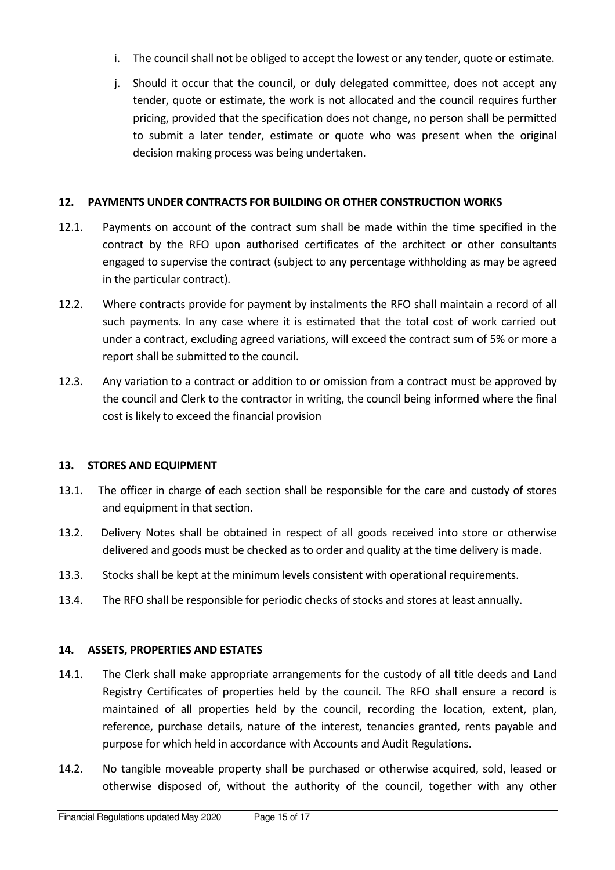- i. The council shall not be obliged to accept the lowest or any tender, quote or estimate.
- j. Should it occur that the council, or duly delegated committee, does not accept any tender, quote or estimate, the work is not allocated and the council requires further pricing, provided that the specification does not change, no person shall be permitted to submit a later tender, estimate or quote who was present when the original decision making process was being undertaken.

### 12. PAYMENTS UNDER CONTRACTS FOR BUILDING OR OTHER CONSTRUCTION WORKS

- 12.1. Payments on account of the contract sum shall be made within the time specified in the contract by the RFO upon authorised certificates of the architect or other consultants engaged to supervise the contract (subject to any percentage withholding as may be agreed in the particular contract).
- 12.2. Where contracts provide for payment by instalments the RFO shall maintain a record of all such payments. In any case where it is estimated that the total cost of work carried out under a contract, excluding agreed variations, will exceed the contract sum of 5% or more a report shall be submitted to the council.
- 12.3. Any variation to a contract or addition to or omission from a contract must be approved by the council and Clerk to the contractor in writing, the council being informed where the final cost is likely to exceed the financial provision

### 13. STORES AND EQUIPMENT

- 13.1. The officer in charge of each section shall be responsible for the care and custody of stores and equipment in that section.
- 13.2. Delivery Notes shall be obtained in respect of all goods received into store or otherwise delivered and goods must be checked as to order and quality at the time delivery is made.
- 13.3. Stocks shall be kept at the minimum levels consistent with operational requirements.
- 13.4. The RFO shall be responsible for periodic checks of stocks and stores at least annually.

### 14. ASSETS, PROPERTIES AND ESTATES

- 14.1. The Clerk shall make appropriate arrangements for the custody of all title deeds and Land Registry Certificates of properties held by the council. The RFO shall ensure a record is maintained of all properties held by the council, recording the location, extent, plan, reference, purchase details, nature of the interest, tenancies granted, rents payable and purpose for which held in accordance with Accounts and Audit Regulations.
- 14.2. No tangible moveable property shall be purchased or otherwise acquired, sold, leased or otherwise disposed of, without the authority of the council, together with any other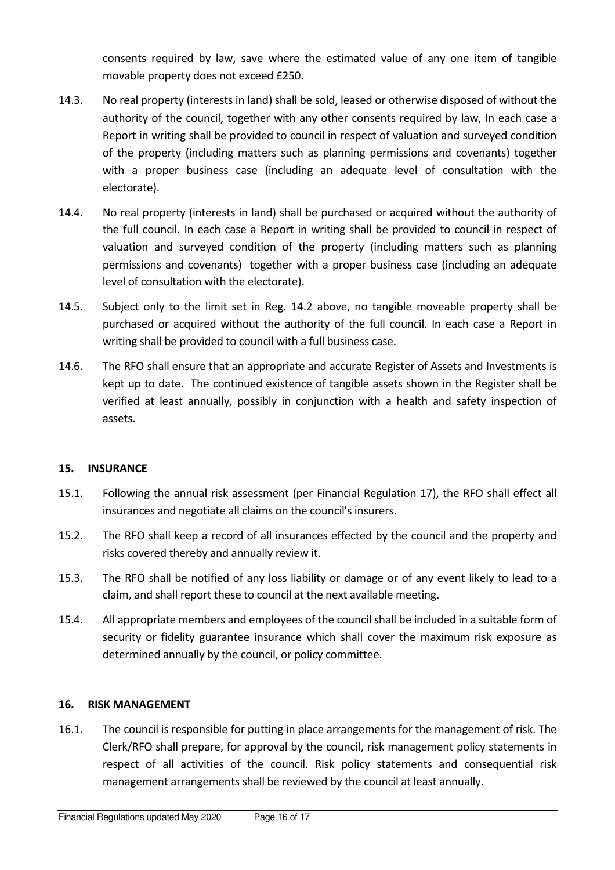consents required by law, save where the estimated value of any one item of tangible movable property does not exceed £250.

- 14.3. No real property (interests in land) shall be sold, leased or otherwise disposed of without the authority of the council, together with any other consents required by law, In each case a Report in writing shall be provided to council in respect of valuation and surveyed condition of the property (including matters such as planning permissions and covenants) together with a proper business case (including an adequate level of consultation with the electorate).
- 14.4. No real property (interests in land) shall be purchased or acquired without the authority of the full council. In each case a Report in writing shall be provided to council in respect of valuation and surveyed condition of the property (including matters such as planning permissions and covenants) together with a proper business case (including an adequate level of consultation with the electorate).
- 14.5. Subject only to the limit set in Reg. 14.2 above, no tangible moveable property shall be purchased or acquired without the authority of the full council. In each case a Report in writing shall be provided to council with a full business case.
- 14.6. The RFO shall ensure that an appropriate and accurate Register of Assets and Investments is kept up to date. The continued existence of tangible assets shown in the Register shall be verified at least annually, possibly in conjunction with a health and safety inspection of assets.

### 15. INSURANCE

- 15.1. Following the annual risk assessment (per Financial Regulation 17), the RFO shall effect all insurances and negotiate all claims on the council's insurers.
- 15.2. The RFO shall keep a record of all insurances effected by the council and the property and risks covered thereby and annually review it.
- 15.3. The RFO shall be notified of any loss liability or damage or of any event likely to lead to a claim, and shall report these to council at the next available meeting.
- 15.4. All appropriate members and employees of the council shall be included in a suitable form of security or fidelity guarantee insurance which shall cover the maximum risk exposure as determined annually by the council, or policy committee.

#### 16. RISK MANAGEMENT

16.1. The council is responsible for putting in place arrangements for the management of risk. The Clerk/RFO shall prepare, for approval by the council, risk management policy statements in respect of all activities of the council. Risk policy statements and consequential risk management arrangements shall be reviewed by the council at least annually.